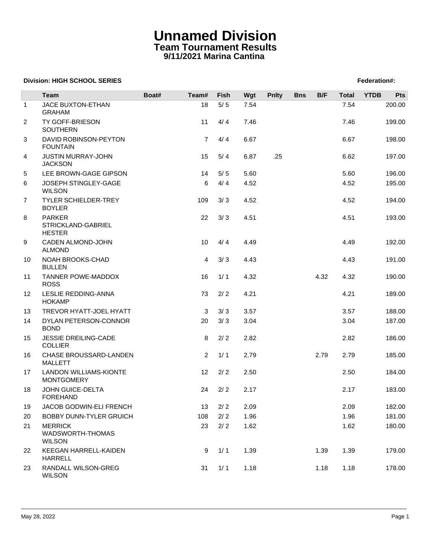## **Unnamed Division Team Tournament Results 9/11/2021 Marina Cantina**

## **Division: HIGH SCHOOL SERIES** Federation And The SCHOOL SERIES Federation And The SCHOOL SERIES Federation And The SCHOOL SERIES FEDERATION AND THE SCHOOL SERIES FEDERATION AND THE SCHOOL SERIES FEDERATION AND THE SCHOOL

|              | <b>Team</b>                                          | Boat# | Team#          | Fish  | Wgt  | <b>Pnlty</b> | <b>Bns</b> | B/F  | <b>Total</b> | <b>YTDB</b> | Pts    |
|--------------|------------------------------------------------------|-------|----------------|-------|------|--------------|------------|------|--------------|-------------|--------|
| $\mathbf{1}$ | JACE BUXTON-ETHAN<br><b>GRAHAM</b>                   |       | 18             | $5/5$ | 7.54 |              |            |      | 7.54         |             | 200.00 |
| 2            | TY GOFF-BRIESON<br><b>SOUTHERN</b>                   |       | 11             | 4/4   | 7.46 |              |            |      | 7.46         |             | 199.00 |
| 3            | DAVID ROBINSON-PEYTON<br><b>FOUNTAIN</b>             |       | $\overline{7}$ | 4/4   | 6.67 |              |            |      | 6.67         |             | 198.00 |
| 4            | <b>JUSTIN MURRAY-JOHN</b><br><b>JACKSON</b>          |       | 15             | 5/4   | 6.87 | .25          |            |      | 6.62         |             | 197.00 |
| 5            | LEE BROWN-GAGE GIPSON                                |       | 14             | 5/5   | 5.60 |              |            |      | 5.60         |             | 196.00 |
| 6            | JOSEPH STINGLEY-GAGE<br><b>WILSON</b>                |       | 6              | 4/4   | 4.52 |              |            |      | 4.52         |             | 195.00 |
| 7            | TYLER SCHIELDER-TREY<br><b>BOYLER</b>                |       | 109            | 3/3   | 4.52 |              |            |      | 4.52         |             | 194.00 |
| 8            | <b>PARKER</b><br>STRICKLAND-GABRIEL<br><b>HESTER</b> |       | 22             | 3/3   | 4.51 |              |            |      | 4.51         |             | 193.00 |
| 9            | CADEN ALMOND-JOHN<br><b>ALMOND</b>                   |       | 10             | 4/4   | 4.49 |              |            |      | 4.49         |             | 192.00 |
| 10           | NOAH BROOKS-CHAD<br><b>BULLEN</b>                    |       | 4              | 3/3   | 4.43 |              |            |      | 4.43         |             | 191.00 |
| 11           | <b>TANNER POWE-MADDOX</b><br><b>ROSS</b>             |       | 16             | 1/1   | 4.32 |              |            | 4.32 | 4.32         |             | 190.00 |
| 12           | LESLIE REDDING-ANNA<br><b>HOKAMP</b>                 |       | 73             | 2/2   | 4.21 |              |            |      | 4.21         |             | 189.00 |
| 13           | TREVOR HYATT-JOEL HYATT                              |       | 3              | 3/3   | 3.57 |              |            |      | 3.57         |             | 188.00 |
| 14           | DYLAN PETERSON-CONNOR<br><b>BOND</b>                 |       | 20             | 3/3   | 3.04 |              |            |      | 3.04         |             | 187.00 |
| 15           | JESSIE DREILING-CADE<br><b>COLLIER</b>               |       | 8              | 2/2   | 2.82 |              |            |      | 2.82         |             | 186.00 |
| 16           | CHASE BROUSSARD-LANDEN<br><b>MALLETT</b>             |       | $\overline{2}$ | 1/1   | 2.79 |              |            | 2.79 | 2.79         |             | 185.00 |
| 17           | LANDON WILLIAMS-KIONTE<br><b>MONTGOMERY</b>          |       | 12             | 2/2   | 2.50 |              |            |      | 2.50         |             | 184.00 |
| 18           | JOHN GUICE-DELTA<br><b>FOREHAND</b>                  |       | 24             | 2/2   | 2.17 |              |            |      | 2.17         |             | 183.00 |
| 19           | JACOB GODWIN-ELI FRENCH                              |       | 13             | $2/2$ | 2.09 |              |            |      | 2.09         |             | 182.00 |
| 20           | BOBBY DUNN-TYLER GRUICH                              |       | 108            | 2/2   | 1.96 |              |            |      | 1.96         |             | 181.00 |
| 21           | <b>MERRICK</b><br>WADSWORTH-THOMAS<br><b>WILSON</b>  |       | 23             | 2/2   | 1.62 |              |            |      | 1.62         |             | 180.00 |
| 22           | KEEGAN HARRELL-KAIDEN<br><b>HARRELL</b>              |       | 9              | 1/1   | 1.39 |              |            | 1.39 | 1.39         |             | 179.00 |
| 23           | RANDALL WILSON-GREG<br><b>WILSON</b>                 |       | 31             | 1/1   | 1.18 |              |            | 1.18 | 1.18         |             | 178.00 |